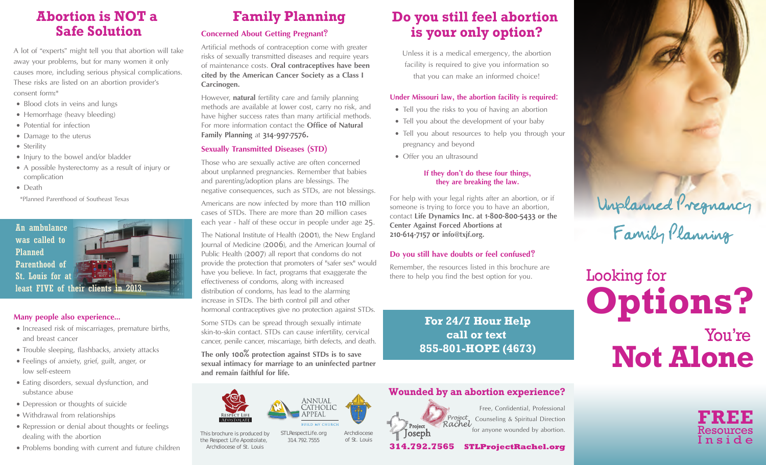## **Abortion is NOT a Safe Solution**

A lot of "experts" might tell you that abortion will take away your problems, but for many women it only causes more, including serious physical complications. These risks are listed on an abortion provider's consent form:\*

- Blood clots in veins and lungs
- Hemorrhage (heavy bleeding)
- Potential for infection
- Damage to the uterus
- Sterility
- Injury to the bowel and/or bladder
- A possible hysterectomy as a result of injury or complication
- Death

\*Planned Parenthood of Southeast Texas



#### **Many people also experience...**

- Increased risk of miscarriages, premature births, and breast cancer
- Trouble sleeping, flashbacks, anxiety attacks
- Feelings of anxiety, grief, guilt, anger, or low self-esteem
- Eating disorders, sexual dysfunction, and substance abuse
- Depression or thoughts of suicide
- Withdrawal from relationships
- Repression or denial about thoughts or feelings dealing with the abortion
- Problems bonding with current and future children

## **Family Planning**

#### **Concerned About Getting Pregnant?**

Artificial methods of contraception come with greater risks of sexually transmitted diseases and require years of maintenance costs. **Oral contraceptives have been cited by the American Cancer Society as a Class I Carcinogen.** 

However, **natural** fertility care and family planning methods are available at lower cost, carry no risk, and have higher success rates than many artificial methods. For more information contact the **Office of Natural Family Planning** at **314-997-7576.**

#### **Sexually Transmitted Diseases (STD)**

Those who are sexually active are often concerned about unplanned pregnancies. Remember that babies and parenting/adoption plans are blessings. The negative consequences, such as STDs, are not blessings.

Americans are now infected by more than 110 million cases of STDs. There are more than 20 million cases each year - half of these occur in people under age 25.

The National Institute of Health (2001), the New England Journal of Medicine (2006), and the American Journal of Public Health (2007) all report that condoms do not provide the protection that promoters of "safer sex" would have you believe. In fact, programs that exaggerate the effectiveness of condoms, along with increased distribution of condoms, has lead to the alarming increase in STDs. The birth control pill and other hormonal contraceptives give no protection against STDs.

Some STDs can be spread through sexually intimate skin-to-skin contact. STDs can cause infertility, cervical cancer, penile cancer, miscarriage, birth defects, and death.

**The only 100% protection against STDs is to save sexual intimacy for marriage to an uninfected partner and remain faithful for life.** 



This brochure is produced by the Respect Life Apostolate, Archdiocese of St. Louis STLRespectLife.org 314.792.7555 Archdiocese of St. Louis

## **Do you still feel abortion is your only option?**

Unless it is a medical emergency, the abortion facility is required to give you information so that you can make an informed choice!

#### **Under Missouri law, the abortion facility is required:**

- Tell you the risks to you of having an abortion
- Tell you about the development of your baby
- Tell you about resources to help you through your pregnancy and beyond
- Offer you an ultrasound

#### **If they don't do these four things, they are breaking the law.**

For help with your legal rights after an abortion, or if someone is trying to force you to have an abortion, contact **Life Dynamics Inc. at 1-800-800-5433 or the Center Against Forced Abortions at 210-614-7157 or info@txjf.org.**

#### **Do you still have doubts or feel confused?**

Remember, the resources listed in this brochure are there to help you find the best option for you.

> **For 24/7 Hour Help call or text 855-801-HOPE (4673)**





Looking for **Options?** You're **Not Alone**

> Resources Inside

**FREE**